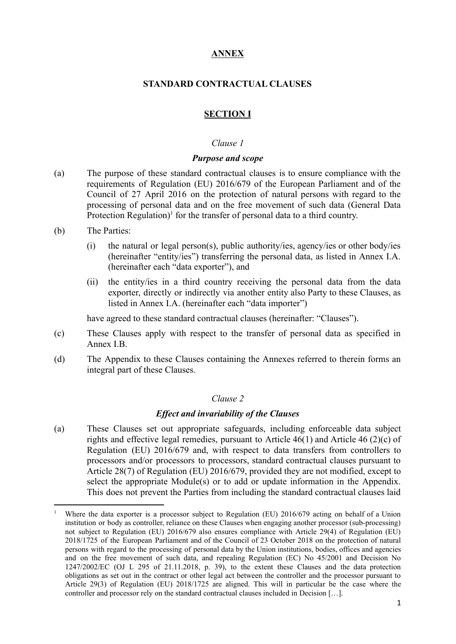# **ANNEX**

#### **STANDARD CONTRACTUAL CLAUSES**

# **SECTION I**

### *Clause 1*

#### *Purpose and scope*

- (a) The purpose of these standard contractual clauses is to ensure compliance with the requirements of Regulation (EU) 2016/679 of the European Parliament and of the Council of 27 April 2016 on the protection of natural persons with regard to the processing of personal data and on the free movement of such data (General Data Protection Regulation)<sup>1</sup> for the transfer of personal data to a third country.
- (b) The Parties:
	- (i) the natural or legal person(s), public authority/ies, agency/ies or other body/ies (hereinafter "entity/ies") transferring the personal data, as listed in Annex I.A. (hereinafter each "data exporter"), and
	- (ii) the entity/ies in a third country receiving the personal data from the data exporter, directly or indirectly via another entity also Party to these Clauses, as listed in Annex I.A. (hereinafter each "data importer")

have agreed to these standard contractual clauses (hereinafter: "Clauses").

- (c) These Clauses apply with respect to the transfer of personal data as specified in Annex I.B.
- (d) The Appendix to these Clauses containing the Annexes referred to therein forms an integral part of these Clauses.

#### *Clause 2*

#### *Effect and invariability of the Clauses*

(a) These Clauses set out appropriate safeguards, including enforceable data subject rights and effective legal remedies, pursuant to Article 46(1) and Article 46 (2)(c) of Regulation (EU) 2016/679 and, with respect to data transfers from controllers to processors and/or processors to processors, standard contractual clauses pursuant to Article 28(7) of Regulation (EU) 2016/679, provided they are not modified, except to select the appropriate Module(s) or to add or update information in the Appendix. This does not prevent the Parties from including the standard contractual clauses laid

<sup>1</sup> Where the data exporter is a processor subject to Regulation (EU) 2016/679 acting on behalf of a Union institution or body as controller, reliance on these Clauses when engaging another processor (sub-processing) not subject to Regulation (EU) 2016/679 also ensures compliance with Article 29(4) of Regulation (EU) 2018/1725 of the European Parliament and of the Council of 23 October 2018 on the protection of natural persons with regard to the processing of personal data by the Union institutions, bodies, offices and agencies and on the free movement of such data, and repealing Regulation (EC) No 45/2001 and Decision No 1247/2002/EC (OJ L 295 of 21.11.2018, p. 39), to the extent these Clauses and the data protection obligations as set out in the contract or other legal act between the controller and the processor pursuant to Article 29(3) of Regulation (EU) 2018/1725 are aligned. This will in particular be the case where the controller and processor rely on the standard contractual clauses included in Decision […].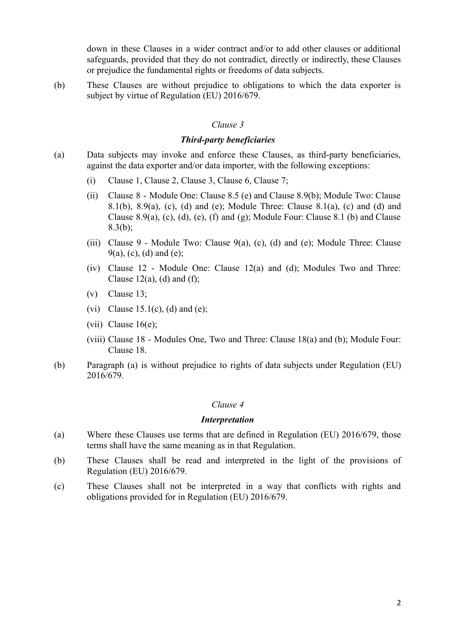down in these Clauses in a wider contract and/or to add other clauses or additional safeguards, provided that they do not contradict, directly or indirectly, these Clauses or prejudice the fundamental rights or freedoms of data subjects.

(b) These Clauses are without prejudice to obligations to which the data exporter is subject by virtue of Regulation (EU) 2016/679.

### *Clause 3*

#### *Third-party beneficiaries*

- (a) Data subjects may invoke and enforce these Clauses, as third-party beneficiaries, against the data exporter and/or data importer, with the following exceptions:
	- (i) Clause 1, Clause 2, Clause 3, Clause 6, Clause 7;
	- (ii) Clause 8 Module One: Clause 8.5 (e) and Clause 8.9(b); Module Two: Clause 8.1(b), 8.9(a), (c), (d) and (e); Module Three: Clause 8.1(a), (c) and (d) and Clause 8.9(a), (c), (d), (e), (f) and (g); Module Four: Clause 8.1 (b) and Clause 8.3(b);
	- (iii) Clause 9 Module Two: Clause  $9(a)$ , (c), (d) and (e); Module Three: Clause  $9(a)$ , (c), (d) and (e);
	- (iv) Clause 12 Module One: Clause 12(a) and (d); Modules Two and Three: Clause  $12(a)$ , (d) and (f);
	- (v) Clause 13;
	- (vi) Clause  $15.1(c)$ , (d) and (e);
	- (vii) Clause  $16(e)$ ;
	- (viii) Clause 18 Modules One, Two and Three: Clause 18(a) and (b); Module Four: Clause 18.
- (b) Paragraph (a) is without prejudice to rights of data subjects under Regulation (EU) 2016/679.

#### *Clause 4*

#### *Interpretation*

- (a) Where these Clauses use terms that are defined in Regulation (EU) 2016/679, those terms shall have the same meaning as in that Regulation.
- (b) These Clauses shall be read and interpreted in the light of the provisions of Regulation (EU) 2016/679.
- (c) These Clauses shall not be interpreted in a way that conflicts with rights and obligations provided for in Regulation (EU) 2016/679.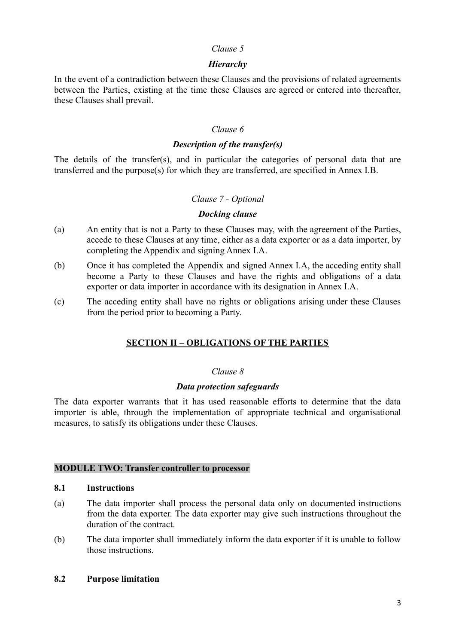### *Clause 5*

### *Hierarchy*

In the event of a contradiction between these Clauses and the provisions of related agreements between the Parties, existing at the time these Clauses are agreed or entered into thereafter, these Clauses shall prevail.

### *Clause 6*

### *Description of the transfer(s)*

The details of the transfer(s), and in particular the categories of personal data that are transferred and the purpose(s) for which they are transferred, are specified in Annex I.B.

# *Clause 7 - Optional*

### *Docking clause*

- (a) An entity that is not a Party to these Clauses may, with the agreement of the Parties, accede to these Clauses at any time, either as a data exporter or as a data importer, by completing the Appendix and signing Annex I.A.
- (b) Once it has completed the Appendix and signed Annex I.A, the acceding entity shall become a Party to these Clauses and have the rights and obligations of a data exporter or data importer in accordance with its designation in Annex I.A.
- (c) The acceding entity shall have no rights or obligations arising under these Clauses from the period prior to becoming a Party.

# **SECTION II – OBLIGATIONS OF THE PARTIES**

# *Clause 8*

#### *Data protection safeguards*

The data exporter warrants that it has used reasonable efforts to determine that the data importer is able, through the implementation of appropriate technical and organisational measures, to satisfy its obligations under these Clauses.

#### **MODULE TWO: Transfer controller to processor**

#### **8.1 Instructions**

- (a) The data importer shall process the personal data only on documented instructions from the data exporter. The data exporter may give such instructions throughout the duration of the contract.
- (b) The data importer shall immediately inform the data exporter if it is unable to follow those instructions.

#### **8.2 Purpose limitation**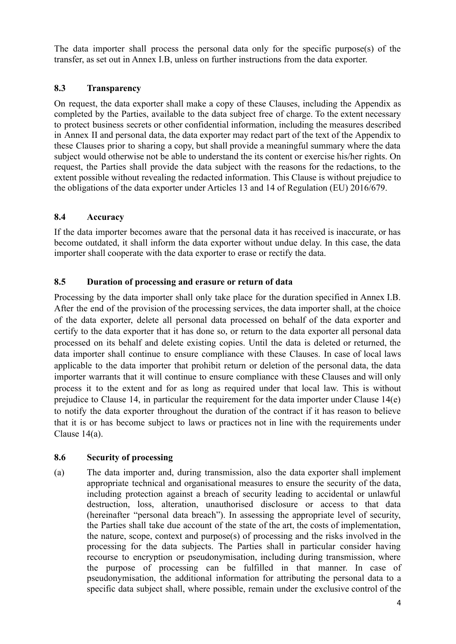The data importer shall process the personal data only for the specific purpose(s) of the transfer, as set out in Annex I.B, unless on further instructions from the data exporter.

# **8.3 Transparency**

On request, the data exporter shall make a copy of these Clauses, including the Appendix as completed by the Parties, available to the data subject free of charge. To the extent necessary to protect business secrets or other confidential information, including the measures described in Annex II and personal data, the data exporter may redact part of the text of the Appendix to these Clauses prior to sharing a copy, but shall provide a meaningful summary where the data subject would otherwise not be able to understand the its content or exercise his/her rights. On request, the Parties shall provide the data subject with the reasons for the redactions, to the extent possible without revealing the redacted information. This Clause is without prejudice to the obligations of the data exporter under Articles 13 and 14 of Regulation (EU) 2016/679.

# **8.4 Accuracy**

If the data importer becomes aware that the personal data it has received is inaccurate, or has become outdated, it shall inform the data exporter without undue delay. In this case, the data importer shall cooperate with the data exporter to erase or rectify the data.

# **8.5 Duration of processing and erasure or return of data**

Processing by the data importer shall only take place for the duration specified in Annex I.B. After the end of the provision of the processing services, the data importer shall, at the choice of the data exporter, delete all personal data processed on behalf of the data exporter and certify to the data exporter that it has done so, or return to the data exporter all personal data processed on its behalf and delete existing copies. Until the data is deleted or returned, the data importer shall continue to ensure compliance with these Clauses. In case of local laws applicable to the data importer that prohibit return or deletion of the personal data, the data importer warrants that it will continue to ensure compliance with these Clauses and will only process it to the extent and for as long as required under that local law. This is without prejudice to Clause 14, in particular the requirement for the data importer under Clause 14(e) to notify the data exporter throughout the duration of the contract if it has reason to believe that it is or has become subject to laws or practices not in line with the requirements under Clause 14(a).

# **8.6 Security of processing**

(a) The data importer and, during transmission, also the data exporter shall implement appropriate technical and organisational measures to ensure the security of the data, including protection against a breach of security leading to accidental or unlawful destruction, loss, alteration, unauthorised disclosure or access to that data (hereinafter "personal data breach"). In assessing the appropriate level of security, the Parties shall take due account of the state of the art, the costs of implementation, the nature, scope, context and purpose(s) of processing and the risks involved in the processing for the data subjects. The Parties shall in particular consider having recourse to encryption or pseudonymisation, including during transmission, where the purpose of processing can be fulfilled in that manner. In case of pseudonymisation, the additional information for attributing the personal data to a specific data subject shall, where possible, remain under the exclusive control of the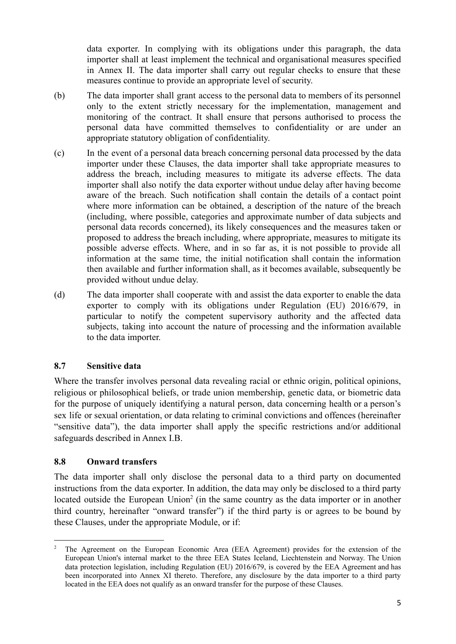data exporter. In complying with its obligations under this paragraph, the data importer shall at least implement the technical and organisational measures specified in Annex II. The data importer shall carry out regular checks to ensure that these measures continue to provide an appropriate level of security.

- (b) The data importer shall grant access to the personal data to members of its personnel only to the extent strictly necessary for the implementation, management and monitoring of the contract. It shall ensure that persons authorised to process the personal data have committed themselves to confidentiality or are under an appropriate statutory obligation of confidentiality.
- (c) In the event of a personal data breach concerning personal data processed by the data importer under these Clauses, the data importer shall take appropriate measures to address the breach, including measures to mitigate its adverse effects. The data importer shall also notify the data exporter without undue delay after having become aware of the breach. Such notification shall contain the details of a contact point where more information can be obtained, a description of the nature of the breach (including, where possible, categories and approximate number of data subjects and personal data records concerned), its likely consequences and the measures taken or proposed to address the breach including, where appropriate, measures to mitigate its possible adverse effects. Where, and in so far as, it is not possible to provide all information at the same time, the initial notification shall contain the information then available and further information shall, as it becomes available, subsequently be provided without undue delay.
- (d) The data importer shall cooperate with and assist the data exporter to enable the data exporter to comply with its obligations under Regulation (EU) 2016/679, in particular to notify the competent supervisory authority and the affected data subjects, taking into account the nature of processing and the information available to the data importer.

# **8.7 Sensitive data**

Where the transfer involves personal data revealing racial or ethnic origin, political opinions, religious or philosophical beliefs, or trade union membership, genetic data, or biometric data for the purpose of uniquely identifying a natural person, data concerning health or a person's sex life or sexual orientation, or data relating to criminal convictions and offences (hereinafter "sensitive data"), the data importer shall apply the specific restrictions and/or additional safeguards described in Annex I.B.

# **8.8 Onward transfers**

The data importer shall only disclose the personal data to a third party on documented instructions from the data exporter. In addition, the data may only be disclosed to a third party located outside the European Union<sup>2</sup> (in the same country as the data importer or in another third country, hereinafter "onward transfer") if the third party is or agrees to be bound by these Clauses, under the appropriate Module, or if:

<sup>2</sup> The Agreement on the European Economic Area (EEA Agreement) provides for the extension of the European Union's internal market to the three EEA States Iceland, Liechtenstein and Norway. The Union data protection legislation, including Regulation (EU) 2016/679, is covered by the EEA Agreement and has been incorporated into Annex XI thereto. Therefore, any disclosure by the data importer to a third party located in the EEA does not qualify as an onward transfer for the purpose of these Clauses.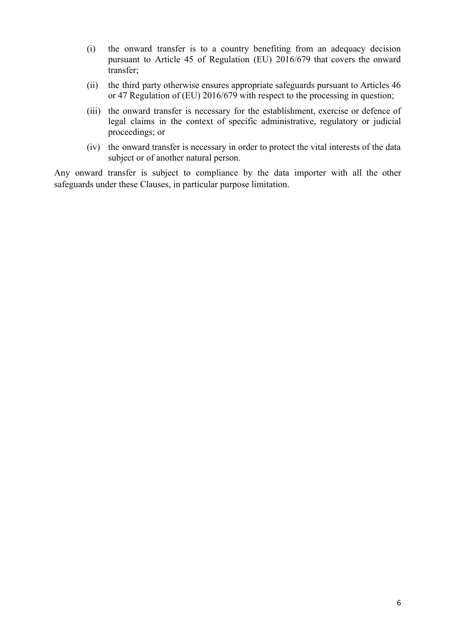- (i) the onward transfer is to a country benefiting from an adequacy decision pursuant to Article 45 of Regulation (EU) 2016/679 that covers the onward transfer;
- (ii) the third party otherwise ensures appropriate safeguards pursuant to Articles 46 or 47 Regulation of (EU) 2016/679 with respect to the processing in question;
- (iii) the onward transfer is necessary for the establishment, exercise or defence of legal claims in the context of specific administrative, regulatory or judicial proceedings; or
- (iv) the onward transfer is necessary in order to protect the vital interests of the data subject or of another natural person.

Any onward transfer is subject to compliance by the data importer with all the other safeguards under these Clauses, in particular purpose limitation.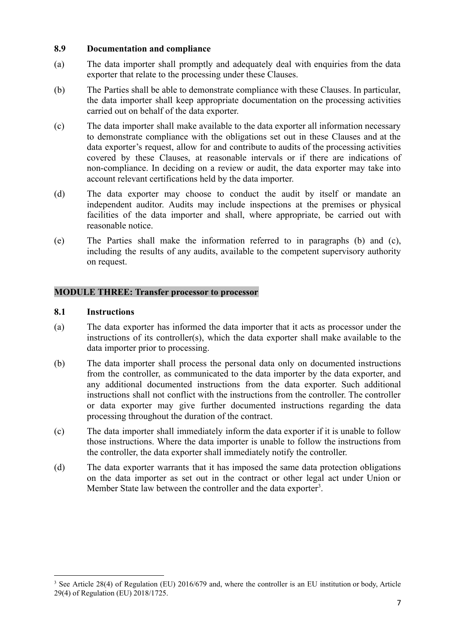### **8.9 Documentation and compliance**

- (a) The data importer shall promptly and adequately deal with enquiries from the data exporter that relate to the processing under these Clauses.
- (b) The Parties shall be able to demonstrate compliance with these Clauses. In particular, the data importer shall keep appropriate documentation on the processing activities carried out on behalf of the data exporter.
- (c) The data importer shall make available to the data exporter all information necessary to demonstrate compliance with the obligations set out in these Clauses and at the data exporter's request, allow for and contribute to audits of the processing activities covered by these Clauses, at reasonable intervals or if there are indications of non-compliance. In deciding on a review or audit, the data exporter may take into account relevant certifications held by the data importer.
- (d) The data exporter may choose to conduct the audit by itself or mandate an independent auditor. Audits may include inspections at the premises or physical facilities of the data importer and shall, where appropriate, be carried out with reasonable notice.
- (e) The Parties shall make the information referred to in paragraphs (b) and (c), including the results of any audits, available to the competent supervisory authority on request.

# **MODULE THREE: Transfer processor to processor**

### **8.1 Instructions**

- (a) The data exporter has informed the data importer that it acts as processor under the instructions of its controller(s), which the data exporter shall make available to the data importer prior to processing.
- (b) The data importer shall process the personal data only on documented instructions from the controller, as communicated to the data importer by the data exporter, and any additional documented instructions from the data exporter. Such additional instructions shall not conflict with the instructions from the controller. The controller or data exporter may give further documented instructions regarding the data processing throughout the duration of the contract.
- (c) The data importer shall immediately inform the data exporter if it is unable to follow those instructions. Where the data importer is unable to follow the instructions from the controller, the data exporter shall immediately notify the controller.
- (d) The data exporter warrants that it has imposed the same data protection obligations on the data importer as set out in the contract or other legal act under Union or Member State law between the controller and the data exporter<sup>3</sup>.

<sup>&</sup>lt;sup>3</sup> See Article 28(4) of Regulation (EU) 2016/679 and, where the controller is an EU institution or body. Article 29(4) of Regulation (EU) 2018/1725.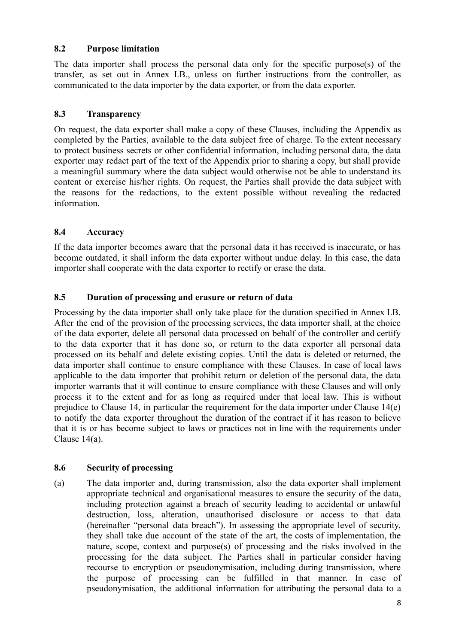# **8.2 Purpose limitation**

The data importer shall process the personal data only for the specific purpose(s) of the transfer, as set out in Annex I.B., unless on further instructions from the controller, as communicated to the data importer by the data exporter, or from the data exporter.

# **8.3 Transparency**

On request, the data exporter shall make a copy of these Clauses, including the Appendix as completed by the Parties, available to the data subject free of charge. To the extent necessary to protect business secrets or other confidential information, including personal data, the data exporter may redact part of the text of the Appendix prior to sharing a copy, but shall provide a meaningful summary where the data subject would otherwise not be able to understand its content or exercise his/her rights. On request, the Parties shall provide the data subject with the reasons for the redactions, to the extent possible without revealing the redacted information.

# **8.4 Accuracy**

If the data importer becomes aware that the personal data it has received is inaccurate, or has become outdated, it shall inform the data exporter without undue delay. In this case, the data importer shall cooperate with the data exporter to rectify or erase the data.

# **8.5 Duration of processing and erasure or return of data**

Processing by the data importer shall only take place for the duration specified in Annex I.B. After the end of the provision of the processing services, the data importer shall, at the choice of the data exporter, delete all personal data processed on behalf of the controller and certify to the data exporter that it has done so, or return to the data exporter all personal data processed on its behalf and delete existing copies. Until the data is deleted or returned, the data importer shall continue to ensure compliance with these Clauses. In case of local laws applicable to the data importer that prohibit return or deletion of the personal data, the data importer warrants that it will continue to ensure compliance with these Clauses and will only process it to the extent and for as long as required under that local law. This is without prejudice to Clause 14, in particular the requirement for the data importer under Clause 14(e) to notify the data exporter throughout the duration of the contract if it has reason to believe that it is or has become subject to laws or practices not in line with the requirements under Clause 14(a).

# **8.6 Security of processing**

(a) The data importer and, during transmission, also the data exporter shall implement appropriate technical and organisational measures to ensure the security of the data, including protection against a breach of security leading to accidental or unlawful destruction, loss, alteration, unauthorised disclosure or access to that data (hereinafter "personal data breach"). In assessing the appropriate level of security, they shall take due account of the state of the art, the costs of implementation, the nature, scope, context and purpose(s) of processing and the risks involved in the processing for the data subject. The Parties shall in particular consider having recourse to encryption or pseudonymisation, including during transmission, where the purpose of processing can be fulfilled in that manner. In case of pseudonymisation, the additional information for attributing the personal data to a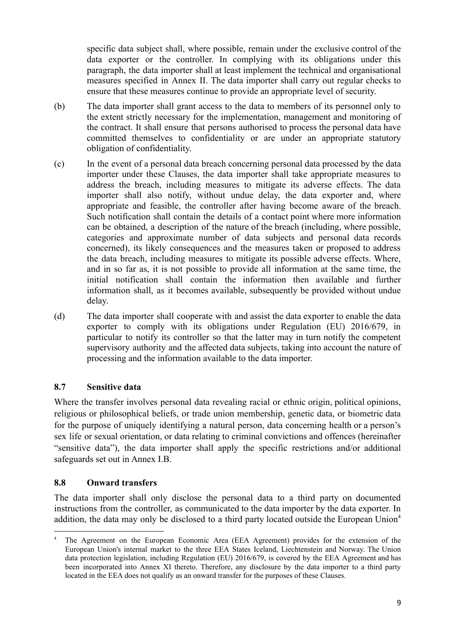specific data subject shall, where possible, remain under the exclusive control of the data exporter or the controller. In complying with its obligations under this paragraph, the data importer shall at least implement the technical and organisational measures specified in Annex II. The data importer shall carry out regular checks to ensure that these measures continue to provide an appropriate level of security.

- (b) The data importer shall grant access to the data to members of its personnel only to the extent strictly necessary for the implementation, management and monitoring of the contract. It shall ensure that persons authorised to process the personal data have committed themselves to confidentiality or are under an appropriate statutory obligation of confidentiality.
- (c) In the event of a personal data breach concerning personal data processed by the data importer under these Clauses, the data importer shall take appropriate measures to address the breach, including measures to mitigate its adverse effects. The data importer shall also notify, without undue delay, the data exporter and, where appropriate and feasible, the controller after having become aware of the breach. Such notification shall contain the details of a contact point where more information can be obtained, a description of the nature of the breach (including, where possible, categories and approximate number of data subjects and personal data records concerned), its likely consequences and the measures taken or proposed to address the data breach, including measures to mitigate its possible adverse effects. Where, and in so far as, it is not possible to provide all information at the same time, the initial notification shall contain the information then available and further information shall, as it becomes available, subsequently be provided without undue delay.
- (d) The data importer shall cooperate with and assist the data exporter to enable the data exporter to comply with its obligations under Regulation (EU) 2016/679, in particular to notify its controller so that the latter may in turn notify the competent supervisory authority and the affected data subjects, taking into account the nature of processing and the information available to the data importer.

# **8.7 Sensitive data**

Where the transfer involves personal data revealing racial or ethnic origin, political opinions, religious or philosophical beliefs, or trade union membership, genetic data, or biometric data for the purpose of uniquely identifying a natural person, data concerning health or a person's sex life or sexual orientation, or data relating to criminal convictions and offences (hereinafter "sensitive data"), the data importer shall apply the specific restrictions and/or additional safeguards set out in Annex I.B.

# **8.8 Onward transfers**

The data importer shall only disclose the personal data to a third party on documented instructions from the controller, as communicated to the data importer by the data exporter. In addition, the data may only be disclosed to a third party located outside the European Union<sup>4</sup>

<sup>4</sup> The Agreement on the European Economic Area (EEA Agreement) provides for the extension of the European Union's internal market to the three EEA States Iceland, Liechtenstein and Norway. The Union data protection legislation, including Regulation (EU) 2016/679, is covered by the EEA Agreement and has been incorporated into Annex XI thereto. Therefore, any disclosure by the data importer to a third party located in the EEA does not qualify as an onward transfer for the purposes of these Clauses.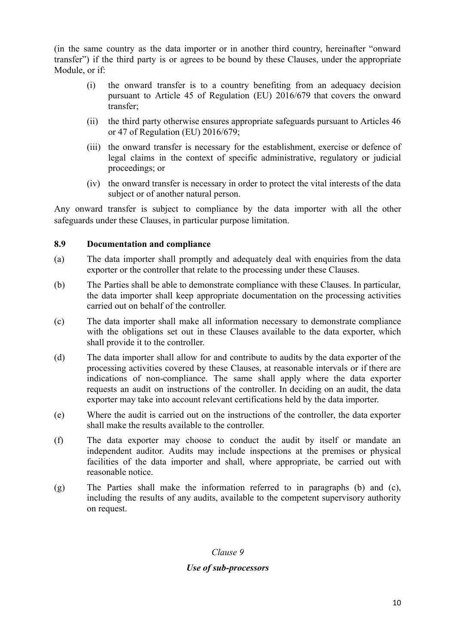(in the same country as the data importer or in another third country, hereinafter "onward transfer") if the third party is or agrees to be bound by these Clauses, under the appropriate Module, or if:

- (i) the onward transfer is to a country benefiting from an adequacy decision pursuant to Article 45 of Regulation (EU) 2016/679 that covers the onward transfer;
- (ii) the third party otherwise ensures appropriate safeguards pursuant to Articles 46 or 47 of Regulation (EU) 2016/679;
- (iii) the onward transfer is necessary for the establishment, exercise or defence of legal claims in the context of specific administrative, regulatory or judicial proceedings; or
- (iv) the onward transfer is necessary in order to protect the vital interests of the data subject or of another natural person.

Any onward transfer is subject to compliance by the data importer with all the other safeguards under these Clauses, in particular purpose limitation.

# **8.9 Documentation and compliance**

- (a) The data importer shall promptly and adequately deal with enquiries from the data exporter or the controller that relate to the processing under these Clauses.
- (b) The Parties shall be able to demonstrate compliance with these Clauses. In particular, the data importer shall keep appropriate documentation on the processing activities carried out on behalf of the controller.
- (c) The data importer shall make all information necessary to demonstrate compliance with the obligations set out in these Clauses available to the data exporter, which shall provide it to the controller.
- (d) The data importer shall allow for and contribute to audits by the data exporter of the processing activities covered by these Clauses, at reasonable intervals or if there are indications of non-compliance. The same shall apply where the data exporter requests an audit on instructions of the controller. In deciding on an audit, the data exporter may take into account relevant certifications held by the data importer.
- (e) Where the audit is carried out on the instructions of the controller, the data exporter shall make the results available to the controller.
- (f) The data exporter may choose to conduct the audit by itself or mandate an independent auditor. Audits may include inspections at the premises or physical facilities of the data importer and shall, where appropriate, be carried out with reasonable notice.
- (g) The Parties shall make the information referred to in paragraphs (b) and (c), including the results of any audits, available to the competent supervisory authority on request.

# *Clause 9*

# *Use of sub-processors*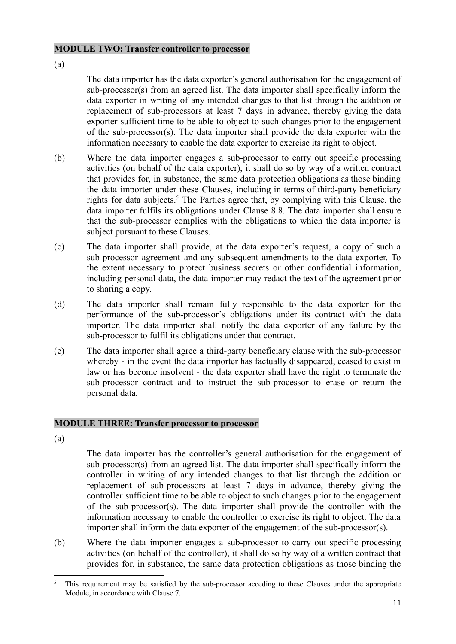### **MODULE TWO: Transfer controller to processor**

(a)

The data importer has the data exporter's general authorisation for the engagement of sub-processor(s) from an agreed list. The data importer shall specifically inform the data exporter in writing of any intended changes to that list through the addition or replacement of sub-processors at least 7 days in advance, thereby giving the data exporter sufficient time to be able to object to such changes prior to the engagement of the sub-processor(s). The data importer shall provide the data exporter with the information necessary to enable the data exporter to exercise its right to object.

- (b) Where the data importer engages a sub-processor to carry out specific processing activities (on behalf of the data exporter), it shall do so by way of a written contract that provides for, in substance, the same data protection obligations as those binding the data importer under these Clauses, including in terms of third-party beneficiary rights for data subjects.<sup>5</sup> The Parties agree that, by complying with this Clause, the data importer fulfils its obligations under Clause 8.8. The data importer shall ensure that the sub-processor complies with the obligations to which the data importer is subject pursuant to these Clauses.
- (c) The data importer shall provide, at the data exporter's request, a copy of such a sub-processor agreement and any subsequent amendments to the data exporter. To the extent necessary to protect business secrets or other confidential information, including personal data, the data importer may redact the text of the agreement prior to sharing a copy.
- (d) The data importer shall remain fully responsible to the data exporter for the performance of the sub-processor's obligations under its contract with the data importer. The data importer shall notify the data exporter of any failure by the sub-processor to fulfil its obligations under that contract.
- (e) The data importer shall agree a third-party beneficiary clause with the sub-processor whereby - in the event the data importer has factually disappeared, ceased to exist in law or has become insolvent - the data exporter shall have the right to terminate the sub-processor contract and to instruct the sub-processor to erase or return the personal data.

# **MODULE THREE: Transfer processor to processor**

(a)

The data importer has the controller's general authorisation for the engagement of sub-processor(s) from an agreed list. The data importer shall specifically inform the controller in writing of any intended changes to that list through the addition or replacement of sub-processors at least 7 days in advance, thereby giving the controller sufficient time to be able to object to such changes prior to the engagement of the sub-processor(s). The data importer shall provide the controller with the information necessary to enable the controller to exercise its right to object. The data importer shall inform the data exporter of the engagement of the sub-processor(s).

(b) Where the data importer engages a sub-processor to carry out specific processing activities (on behalf of the controller), it shall do so by way of a written contract that provides for, in substance, the same data protection obligations as those binding the

<sup>5</sup> This requirement may be satisfied by the sub-processor acceding to these Clauses under the appropriate Module, in accordance with Clause 7.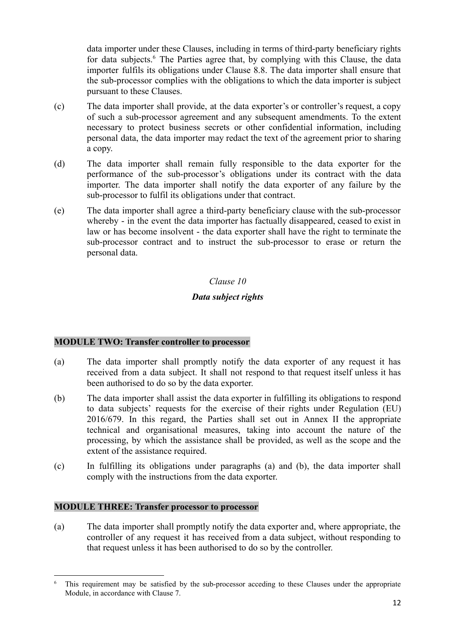data importer under these Clauses, including in terms of third-party beneficiary rights for data subjects.<sup>6</sup> The Parties agree that, by complying with this Clause, the data importer fulfils its obligations under Clause 8.8. The data importer shall ensure that the sub-processor complies with the obligations to which the data importer is subject pursuant to these Clauses.

- (c) The data importer shall provide, at the data exporter's or controller's request, a copy of such a sub-processor agreement and any subsequent amendments. To the extent necessary to protect business secrets or other confidential information, including personal data, the data importer may redact the text of the agreement prior to sharing a copy.
- (d) The data importer shall remain fully responsible to the data exporter for the performance of the sub-processor's obligations under its contract with the data importer. The data importer shall notify the data exporter of any failure by the sub-processor to fulfil its obligations under that contract.
- (e) The data importer shall agree a third-party beneficiary clause with the sub-processor whereby - in the event the data importer has factually disappeared, ceased to exist in law or has become insolvent - the data exporter shall have the right to terminate the sub-processor contract and to instruct the sub-processor to erase or return the personal data.

# *Clause 10*

# *Data subject rights*

# **MODULE TWO: Transfer controller to processor**

- (a) The data importer shall promptly notify the data exporter of any request it has received from a data subject. It shall not respond to that request itself unless it has been authorised to do so by the data exporter.
- (b) The data importer shall assist the data exporter in fulfilling its obligations to respond to data subjects' requests for the exercise of their rights under Regulation (EU) 2016/679. In this regard, the Parties shall set out in Annex II the appropriate technical and organisational measures, taking into account the nature of the processing, by which the assistance shall be provided, as well as the scope and the extent of the assistance required.
- (c) In fulfilling its obligations under paragraphs (a) and (b), the data importer shall comply with the instructions from the data exporter.

# **MODULE THREE: Transfer processor to processor**

(a) The data importer shall promptly notify the data exporter and, where appropriate, the controller of any request it has received from a data subject, without responding to that request unless it has been authorised to do so by the controller.

This requirement may be satisfied by the sub-processor acceding to these Clauses under the appropriate Module, in accordance with Clause 7.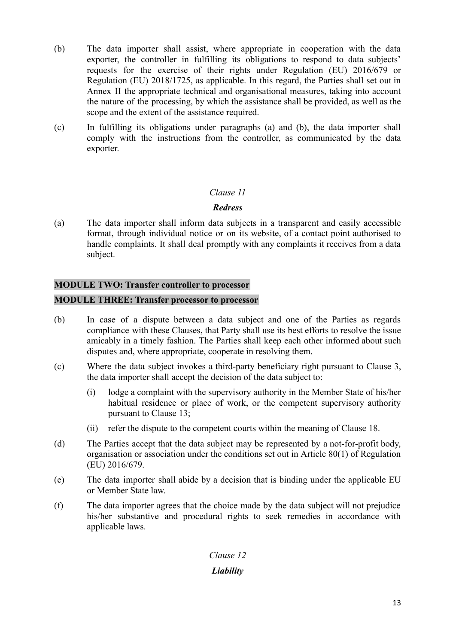- (b) The data importer shall assist, where appropriate in cooperation with the data exporter, the controller in fulfilling its obligations to respond to data subjects' requests for the exercise of their rights under Regulation (EU) 2016/679 or Regulation (EU) 2018/1725, as applicable. In this regard, the Parties shall set out in Annex II the appropriate technical and organisational measures, taking into account the nature of the processing, by which the assistance shall be provided, as well as the scope and the extent of the assistance required.
- (c) In fulfilling its obligations under paragraphs (a) and (b), the data importer shall comply with the instructions from the controller, as communicated by the data exporter.

### *Clause 11*

### *Redress*

(a) The data importer shall inform data subjects in a transparent and easily accessible format, through individual notice or on its website, of a contact point authorised to handle complaints. It shall deal promptly with any complaints it receives from a data subject.

### **MODULE TWO: Transfer controller to processor**

### **MODULE THREE: Transfer processor to processor**

- (b) In case of a dispute between a data subject and one of the Parties as regards compliance with these Clauses, that Party shall use its best efforts to resolve the issue amicably in a timely fashion. The Parties shall keep each other informed about such disputes and, where appropriate, cooperate in resolving them.
- (c) Where the data subject invokes a third-party beneficiary right pursuant to Clause 3, the data importer shall accept the decision of the data subject to:
	- (i) lodge a complaint with the supervisory authority in the Member State of his/her habitual residence or place of work, or the competent supervisory authority pursuant to Clause 13;
	- (ii) refer the dispute to the competent courts within the meaning of Clause 18.
- (d) The Parties accept that the data subject may be represented by a not-for-profit body, organisation or association under the conditions set out in Article 80(1) of Regulation (EU) 2016/679.
- (e) The data importer shall abide by a decision that is binding under the applicable EU or Member State law.
- (f) The data importer agrees that the choice made by the data subject will not prejudice his/her substantive and procedural rights to seek remedies in accordance with applicable laws.

*Clause 12 Liability*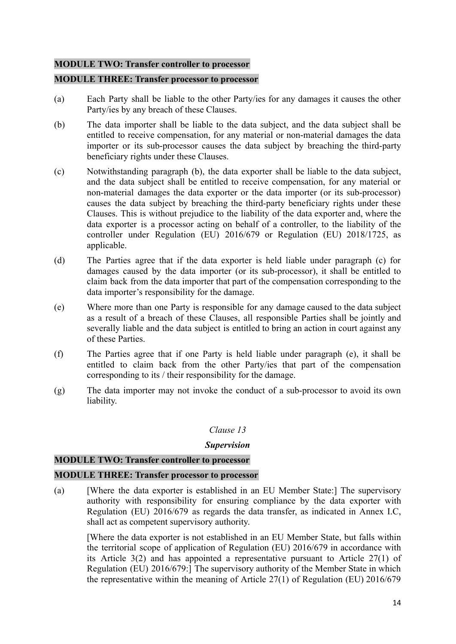### **MODULE TWO: Transfer controller to processor**

#### **MODULE THREE: Transfer processor to processor**

- (a) Each Party shall be liable to the other Party/ies for any damages it causes the other Party/ies by any breach of these Clauses.
- (b) The data importer shall be liable to the data subject, and the data subject shall be entitled to receive compensation, for any material or non-material damages the data importer or its sub-processor causes the data subject by breaching the third-party beneficiary rights under these Clauses.
- (c) Notwithstanding paragraph (b), the data exporter shall be liable to the data subject, and the data subject shall be entitled to receive compensation, for any material or non-material damages the data exporter or the data importer (or its sub-processor) causes the data subject by breaching the third-party beneficiary rights under these Clauses. This is without prejudice to the liability of the data exporter and, where the data exporter is a processor acting on behalf of a controller, to the liability of the controller under Regulation (EU) 2016/679 or Regulation (EU) 2018/1725, as applicable.
- (d) The Parties agree that if the data exporter is held liable under paragraph (c) for damages caused by the data importer (or its sub-processor), it shall be entitled to claim back from the data importer that part of the compensation corresponding to the data importer's responsibility for the damage.
- (e) Where more than one Party is responsible for any damage caused to the data subject as a result of a breach of these Clauses, all responsible Parties shall be jointly and severally liable and the data subject is entitled to bring an action in court against any of these Parties.
- (f) The Parties agree that if one Party is held liable under paragraph (e), it shall be entitled to claim back from the other Party/ies that part of the compensation corresponding to its / their responsibility for the damage.
- (g) The data importer may not invoke the conduct of a sub-processor to avoid its own liability.

#### *Clause 13*

#### *Supervision*

#### **MODULE TWO: Transfer controller to processor**

#### **MODULE THREE: Transfer processor to processor**

(a) [Where the data exporter is established in an EU Member State:] The supervisory authority with responsibility for ensuring compliance by the data exporter with Regulation (EU) 2016/679 as regards the data transfer, as indicated in Annex I.C, shall act as competent supervisory authority.

[Where the data exporter is not established in an EU Member State, but falls within the territorial scope of application of Regulation (EU) 2016/679 in accordance with its Article 3(2) and has appointed a representative pursuant to Article 27(1) of Regulation (EU) 2016/679:] The supervisory authority of the Member State in which the representative within the meaning of Article 27(1) of Regulation (EU) 2016/679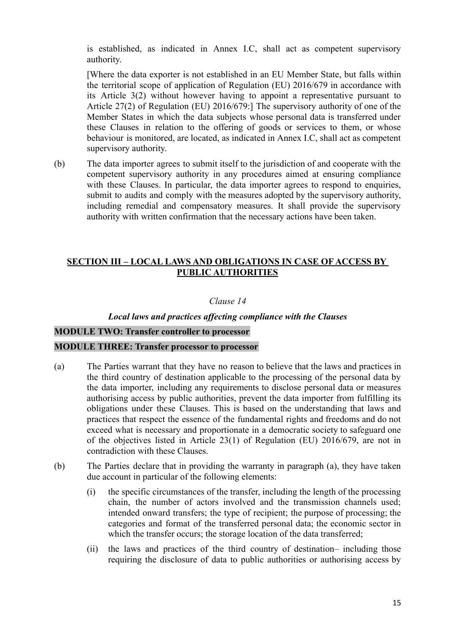is established, as indicated in Annex I.C, shall act as competent supervisory authority.

[Where the data exporter is not established in an EU Member State, but falls within the territorial scope of application of Regulation (EU) 2016/679 in accordance with its Article 3(2) without however having to appoint a representative pursuant to Article 27(2) of Regulation (EU) 2016/679:] The supervisory authority of one of the Member States in which the data subjects whose personal data is transferred under these Clauses in relation to the offering of goods or services to them, or whose behaviour is monitored, are located, as indicated in Annex I.C, shall act as competent supervisory authority.

(b) The data importer agrees to submit itself to the jurisdiction of and cooperate with the competent supervisory authority in any procedures aimed at ensuring compliance with these Clauses. In particular, the data importer agrees to respond to enquiries, submit to audits and comply with the measures adopted by the supervisory authority, including remedial and compensatory measures. It shall provide the supervisory authority with written confirmation that the necessary actions have been taken.

# **SECTION III – LOCAL LAWS AND OBLIGATIONS IN CASE OF ACCESS BY PUBLIC AUTHORITIES**

### *Clause 14*

### *Local laws and practices affecting compliance with the Clauses*

# **MODULE TWO: Transfer controller to processor**

# **MODULE THREE: Transfer processor to processor**

- (a) The Parties warrant that they have no reason to believe that the laws and practices in the third country of destination applicable to the processing of the personal data by the data importer, including any requirements to disclose personal data or measures authorising access by public authorities, prevent the data importer from fulfilling its obligations under these Clauses. This is based on the understanding that laws and practices that respect the essence of the fundamental rights and freedoms and do not exceed what is necessary and proportionate in a democratic society to safeguard one of the objectives listed in Article 23(1) of Regulation (EU) 2016/679, are not in contradiction with these Clauses.
- (b) The Parties declare that in providing the warranty in paragraph (a), they have taken due account in particular of the following elements:
	- (i) the specific circumstances of the transfer, including the length of the processing chain, the number of actors involved and the transmission channels used; intended onward transfers; the type of recipient; the purpose of processing; the categories and format of the transferred personal data; the economic sector in which the transfer occurs; the storage location of the data transferred;
	- (ii) the laws and practices of the third country of destination– including those requiring the disclosure of data to public authorities or authorising access by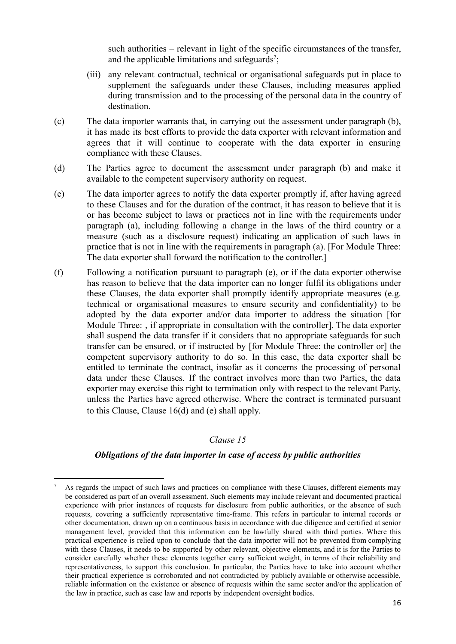such authorities – relevant in light of the specific circumstances of the transfer, and the applicable limitations and safeguards<sup>7</sup>;

- (iii) any relevant contractual, technical or organisational safeguards put in place to supplement the safeguards under these Clauses, including measures applied during transmission and to the processing of the personal data in the country of destination.
- (c) The data importer warrants that, in carrying out the assessment under paragraph (b), it has made its best efforts to provide the data exporter with relevant information and agrees that it will continue to cooperate with the data exporter in ensuring compliance with these Clauses.
- (d) The Parties agree to document the assessment under paragraph (b) and make it available to the competent supervisory authority on request.
- (e) The data importer agrees to notify the data exporter promptly if, after having agreed to these Clauses and for the duration of the contract, it has reason to believe that it is or has become subject to laws or practices not in line with the requirements under paragraph (a), including following a change in the laws of the third country or a measure (such as a disclosure request) indicating an application of such laws in practice that is not in line with the requirements in paragraph (a). [For Module Three: The data exporter shall forward the notification to the controller.]
- (f) Following a notification pursuant to paragraph (e), or if the data exporter otherwise has reason to believe that the data importer can no longer fulfil its obligations under these Clauses, the data exporter shall promptly identify appropriate measures (e.g. technical or organisational measures to ensure security and confidentiality) to be adopted by the data exporter and/or data importer to address the situation [for Module Three: , if appropriate in consultation with the controller]. The data exporter shall suspend the data transfer if it considers that no appropriate safeguards for such transfer can be ensured, or if instructed by [for Module Three: the controller or] the competent supervisory authority to do so. In this case, the data exporter shall be entitled to terminate the contract, insofar as it concerns the processing of personal data under these Clauses. If the contract involves more than two Parties, the data exporter may exercise this right to termination only with respect to the relevant Party, unless the Parties have agreed otherwise. Where the contract is terminated pursuant to this Clause, Clause 16(d) and (e) shall apply.

#### *Clause 15*

#### *Obligations of the data importer in case of access by public authorities*

As regards the impact of such laws and practices on compliance with these Clauses, different elements may be considered as part of an overall assessment. Such elements may include relevant and documented practical experience with prior instances of requests for disclosure from public authorities, or the absence of such requests, covering a sufficiently representative time-frame. This refers in particular to internal records or other documentation, drawn up on a continuous basis in accordance with due diligence and certified at senior management level, provided that this information can be lawfully shared with third parties. Where this practical experience is relied upon to conclude that the data importer will not be prevented from complying with these Clauses, it needs to be supported by other relevant, objective elements, and it is for the Parties to consider carefully whether these elements together carry sufficient weight, in terms of their reliability and representativeness, to support this conclusion. In particular, the Parties have to take into account whether their practical experience is corroborated and not contradicted by publicly available or otherwise accessible, reliable information on the existence or absence of requests within the same sector and/or the application of the law in practice, such as case law and reports by independent oversight bodies.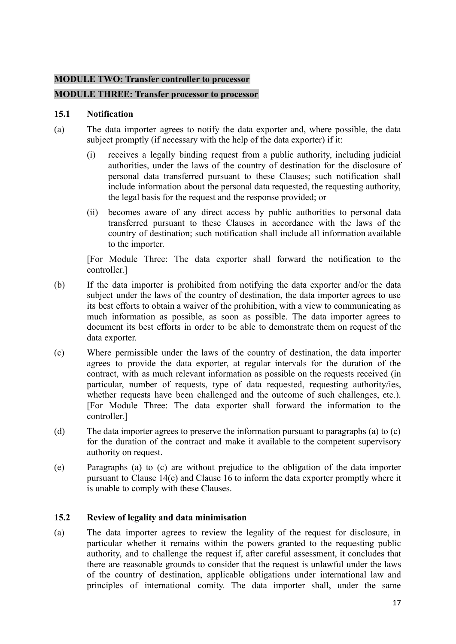### **MODULE TWO: Transfer controller to processor**

#### **MODULE THREE: Transfer processor to processor**

#### **15.1 Notification**

- (a) The data importer agrees to notify the data exporter and, where possible, the data subject promptly (if necessary with the help of the data exporter) if it:
	- (i) receives a legally binding request from a public authority, including judicial authorities, under the laws of the country of destination for the disclosure of personal data transferred pursuant to these Clauses; such notification shall include information about the personal data requested, the requesting authority, the legal basis for the request and the response provided; or
	- (ii) becomes aware of any direct access by public authorities to personal data transferred pursuant to these Clauses in accordance with the laws of the country of destination; such notification shall include all information available to the importer.

[For Module Three: The data exporter shall forward the notification to the controller.]

- (b) If the data importer is prohibited from notifying the data exporter and/or the data subject under the laws of the country of destination, the data importer agrees to use its best efforts to obtain a waiver of the prohibition, with a view to communicating as much information as possible, as soon as possible. The data importer agrees to document its best efforts in order to be able to demonstrate them on request of the data exporter.
- (c) Where permissible under the laws of the country of destination, the data importer agrees to provide the data exporter, at regular intervals for the duration of the contract, with as much relevant information as possible on the requests received (in particular, number of requests, type of data requested, requesting authority/ies, whether requests have been challenged and the outcome of such challenges, etc.). [For Module Three: The data exporter shall forward the information to the controller.]
- (d) The data importer agrees to preserve the information pursuant to paragraphs (a) to (c) for the duration of the contract and make it available to the competent supervisory authority on request.
- (e) Paragraphs (a) to (c) are without prejudice to the obligation of the data importer pursuant to Clause 14(e) and Clause 16 to inform the data exporter promptly where it is unable to comply with these Clauses.

#### **15.2 Review of legality and data minimisation**

(a) The data importer agrees to review the legality of the request for disclosure, in particular whether it remains within the powers granted to the requesting public authority, and to challenge the request if, after careful assessment, it concludes that there are reasonable grounds to consider that the request is unlawful under the laws of the country of destination, applicable obligations under international law and principles of international comity. The data importer shall, under the same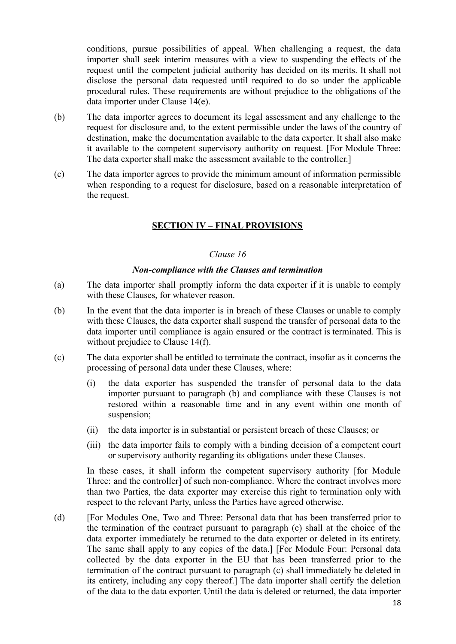conditions, pursue possibilities of appeal. When challenging a request, the data importer shall seek interim measures with a view to suspending the effects of the request until the competent judicial authority has decided on its merits. It shall not disclose the personal data requested until required to do so under the applicable procedural rules. These requirements are without prejudice to the obligations of the data importer under Clause 14(e).

- (b) The data importer agrees to document its legal assessment and any challenge to the request for disclosure and, to the extent permissible under the laws of the country of destination, make the documentation available to the data exporter. It shall also make it available to the competent supervisory authority on request. [For Module Three: The data exporter shall make the assessment available to the controller.]
- (c) The data importer agrees to provide the minimum amount of information permissible when responding to a request for disclosure, based on a reasonable interpretation of the request.

# **SECTION IV – FINAL PROVISIONS**

### *Clause 16*

#### *Non-compliance with the Clauses and termination*

- (a) The data importer shall promptly inform the data exporter if it is unable to comply with these Clauses, for whatever reason.
- (b) In the event that the data importer is in breach of these Clauses or unable to comply with these Clauses, the data exporter shall suspend the transfer of personal data to the data importer until compliance is again ensured or the contract is terminated. This is without prejudice to Clause 14(f).
- (c) The data exporter shall be entitled to terminate the contract, insofar as it concerns the processing of personal data under these Clauses, where:
	- (i) the data exporter has suspended the transfer of personal data to the data importer pursuant to paragraph (b) and compliance with these Clauses is not restored within a reasonable time and in any event within one month of suspension;
	- (ii) the data importer is in substantial or persistent breach of these Clauses; or
	- (iii) the data importer fails to comply with a binding decision of a competent court or supervisory authority regarding its obligations under these Clauses.

In these cases, it shall inform the competent supervisory authority [for Module Three: and the controller] of such non-compliance. Where the contract involves more than two Parties, the data exporter may exercise this right to termination only with respect to the relevant Party, unless the Parties have agreed otherwise.

(d) [For Modules One, Two and Three: Personal data that has been transferred prior to the termination of the contract pursuant to paragraph (c) shall at the choice of the data exporter immediately be returned to the data exporter or deleted in its entirety. The same shall apply to any copies of the data.] [For Module Four: Personal data collected by the data exporter in the EU that has been transferred prior to the termination of the contract pursuant to paragraph (c) shall immediately be deleted in its entirety, including any copy thereof.] The data importer shall certify the deletion of the data to the data exporter. Until the data is deleted or returned, the data importer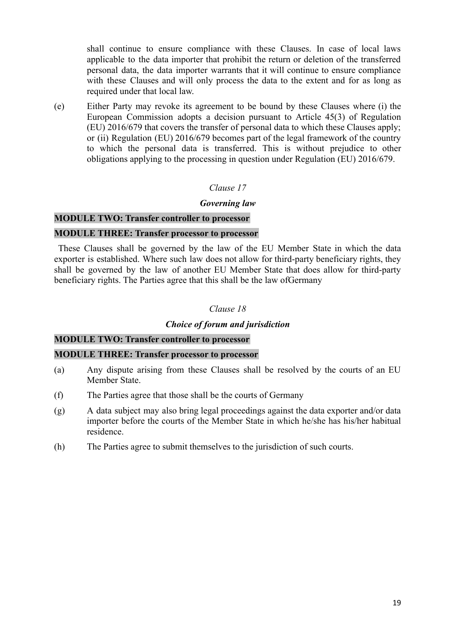shall continue to ensure compliance with these Clauses. In case of local laws applicable to the data importer that prohibit the return or deletion of the transferred personal data, the data importer warrants that it will continue to ensure compliance with these Clauses and will only process the data to the extent and for as long as required under that local law.

(e) Either Party may revoke its agreement to be bound by these Clauses where (i) the European Commission adopts a decision pursuant to Article 45(3) of Regulation (EU) 2016/679 that covers the transfer of personal data to which these Clauses apply; or (ii) Regulation (EU) 2016/679 becomes part of the legal framework of the country to which the personal data is transferred. This is without prejudice to other obligations applying to the processing in question under Regulation (EU) 2016/679.

### *Clause 17*

#### *Governing law*

### **MODULE TWO: Transfer controller to processor**

#### **MODULE THREE: Transfer processor to processor**

These Clauses shall be governed by the law of the EU Member State in which the data exporter is established. Where such law does not allow for third-party beneficiary rights, they shall be governed by the law of another EU Member State that does allow for third-party beneficiary rights. The Parties agree that this shall be the law ofGermany

### *Clause 18*

### *Choice of forum and jurisdiction*

# **MODULE TWO: Transfer controller to processor**

# **MODULE THREE: Transfer processor to processor**

- (a) Any dispute arising from these Clauses shall be resolved by the courts of an EU Member State.
- (f) The Parties agree that those shall be the courts of Germany
- (g) A data subject may also bring legal proceedings against the data exporter and/or data importer before the courts of the Member State in which he/she has his/her habitual residence.
- (h) The Parties agree to submit themselves to the jurisdiction of such courts.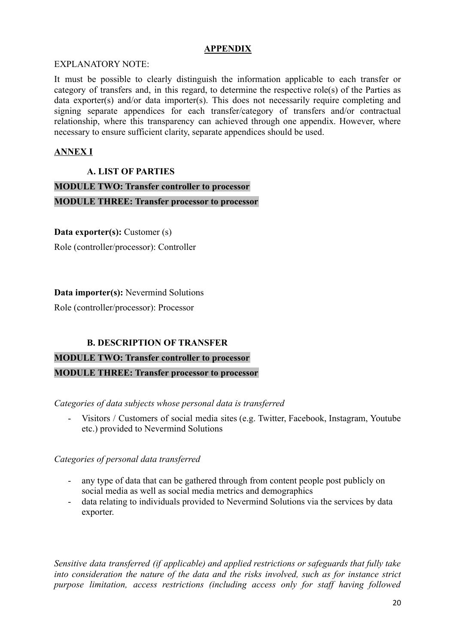### **APPENDIX**

### EXPLANATORY NOTE:

It must be possible to clearly distinguish the information applicable to each transfer or category of transfers and, in this regard, to determine the respective role(s) of the Parties as data exporter(s) and/or data importer(s). This does not necessarily require completing and signing separate appendices for each transfer/category of transfers and/or contractual relationship, where this transparency can achieved through one appendix. However, where necessary to ensure sufficient clarity, separate appendices should be used.

# **ANNEX I**

# **A. LIST OF PARTIES MODULE TWO: Transfer controller to processor MODULE THREE: Transfer processor to processor**

#### **Data exporter(s):** Customer (s)

Role (controller/processor): Controller

**Data importer(s):** Nevermind Solutions

Role (controller/processor): Processor

# **B. DESCRIPTION OF TRANSFER MODULE TWO: Transfer controller to processor MODULE THREE: Transfer processor to processor**

*Categories of data subjects whose personal data is transferred*

- Visitors / Customers of social media sites (e.g. Twitter, Facebook, Instagram, Youtube etc.) provided to Nevermind Solutions

# *Categories of personal data transferred*

- any type of data that can be gathered through from content people post publicly on social media as well as social media metrics and demographics
- data relating to individuals provided to Nevermind Solutions via the services by data exporter.

*Sensitive data transferred (if applicable) and applied restrictions or safeguards that fully take into consideration the nature of the data and the risks involved, such as for instance strict purpose limitation, access restrictions (including access only for staff having followed*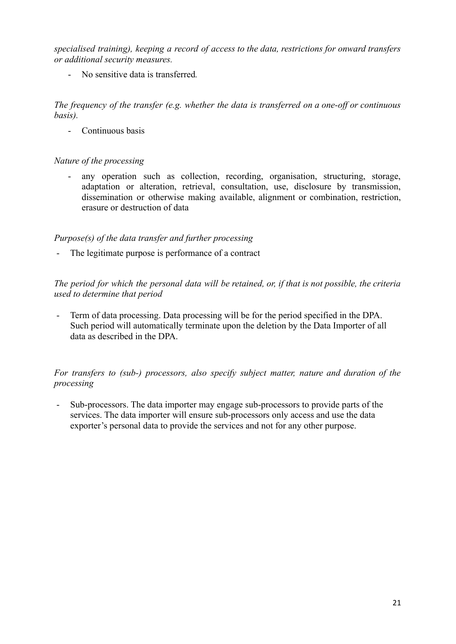*specialised training), keeping a record of access to the data, restrictions for onward transfers or additional security measures.*

- No sensitive data is transferred*.*

## *The frequency of the transfer (e.g. whether the data is transferred on a one-off or continuous basis).*

- Continuous basis

### *Nature of the processing*

any operation such as collection, recording, organisation, structuring, storage, adaptation or alteration, retrieval, consultation, use, disclosure by transmission, dissemination or otherwise making available, alignment or combination, restriction, erasure or destruction of data

# *Purpose(s) of the data transfer and further processing*

- The legitimate purpose is performance of a contract

*The period for which the personal data will be retained, or, if that is not possible, the criteria used to determine that period*

- Term of data processing. Data processing will be for the period specified in the DPA. Such period will automatically terminate upon the deletion by the Data Importer of all data as described in the DPA.

# *For transfers to (sub-) processors, also specify subject matter, nature and duration of the processing*

- Sub-processors. The data importer may engage sub-processors to provide parts of the services. The data importer will ensure sub-processors only access and use the data exporter's personal data to provide the services and not for any other purpose.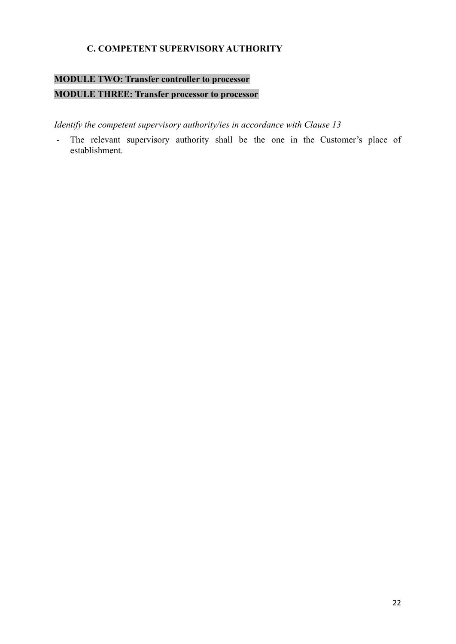# **C. COMPETENT SUPERVISORY AUTHORITY**

# **MODULE TWO: Transfer controller to processor MODULE THREE: Transfer processor to processor**

*Identify the competent supervisory authority/ies in accordance with Clause 13*

- The relevant supervisory authority shall be the one in the Customer's place of establishment.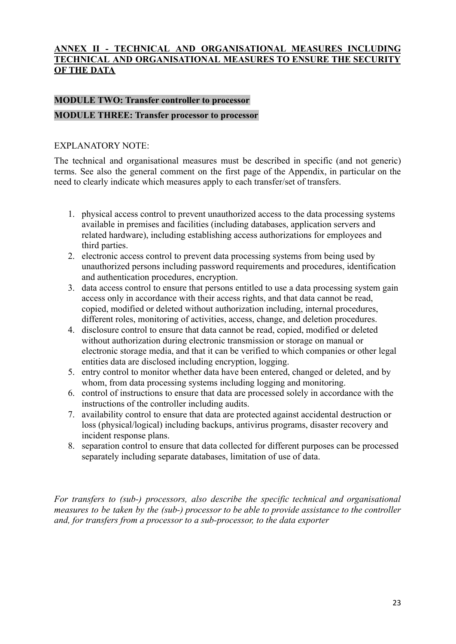# **ANNEX II - TECHNICAL AND ORGANISATIONAL MEASURES INCLUDING TECHNICAL AND ORGANISATIONAL MEASURES TO ENSURE THE SECURITY OF THE DATA**

#### **MODULE TWO: Transfer controller to processor**

### **MODULE THREE: Transfer processor to processor**

#### EXPLANATORY NOTE:

The technical and organisational measures must be described in specific (and not generic) terms. See also the general comment on the first page of the Appendix, in particular on the need to clearly indicate which measures apply to each transfer/set of transfers.

- 1. physical access control to prevent unauthorized access to the data processing systems available in premises and facilities (including databases, application servers and related hardware), including establishing access authorizations for employees and third parties.
- 2. electronic access control to prevent data processing systems from being used by unauthorized persons including password requirements and procedures, identification and authentication procedures, encryption.
- 3. data access control to ensure that persons entitled to use a data processing system gain access only in accordance with their access rights, and that data cannot be read, copied, modified or deleted without authorization including, internal procedures, different roles, monitoring of activities, access, change, and deletion procedures.
- 4. disclosure control to ensure that data cannot be read, copied, modified or deleted without authorization during electronic transmission or storage on manual or electronic storage media, and that it can be verified to which companies or other legal entities data are disclosed including encryption, logging.
- 5. entry control to monitor whether data have been entered, changed or deleted, and by whom, from data processing systems including logging and monitoring.
- 6. control of instructions to ensure that data are processed solely in accordance with the instructions of the controller including audits.
- 7. availability control to ensure that data are protected against accidental destruction or loss (physical/logical) including backups, antivirus programs, disaster recovery and incident response plans.
- 8. separation control to ensure that data collected for different purposes can be processed separately including separate databases, limitation of use of data.

*For transfers to (sub-) processors, also describe the specific technical and organisational measures to be taken by the (sub-) processor to be able to provide assistance to the controller and, for transfers from a processor to a sub-processor, to the data exporter*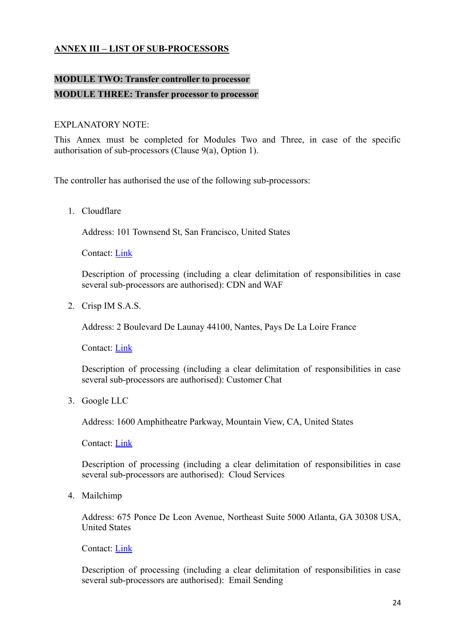# **ANNEX III – LIST OF SUB-PROCESSORS**

# **MODULE TWO: Transfer controller to processor MODULE THREE: Transfer processor to processor**

### EXPLANATORY NOTE:

This Annex must be completed for Modules Two and Three, in case of the specific authorisation of sub-processors (Clause 9(a), Option 1).

The controller has authorised the use of the following sub-processors:

1. Cloudflare

Address: 101 Townsend St, San Francisco, United States

Contact: [Link](https://www.cloudflare.com/gdpr/introduction/)

Description of processing (including a clear delimitation of responsibilities in case several sub-processors are authorised): CDN and WAF

2. Crisp IM S.A.S.

Address: 2 Boulevard De Launay 44100, Nantes, Pays De La Loire France

Contact: [Link](https://help.crisp.chat/en/article/whats-crisp-eu-gdpr-compliance-status-nhv54c/)

Description of processing (including a clear delimitation of responsibilities in case several sub-processors are authorised): Customer Chat

3. Google LLC

Address: 1600 Amphitheatre Parkway, Mountain View, CA, United States

Contact: [Link](https://cloud.google.com/privacy/gdpr)

Description of processing (including a clear delimitation of responsibilities in case several sub-processors are authorised): Cloud Services

4. Mailchimp

Address: 675 Ponce De Leon Avenue, Northeast Suite 5000 Atlanta, GA 30308 USA, United States

Contact: [Link](https://mailchimp.com/gdpr/)

Description of processing (including a clear delimitation of responsibilities in case several sub-processors are authorised): Email Sending